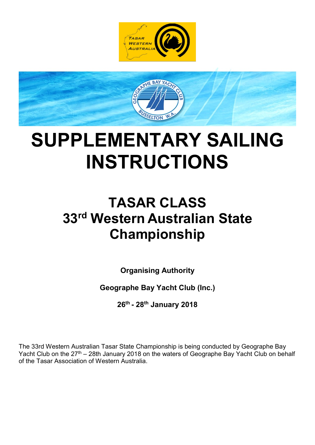



# SUPPLEMENTARY SAILING INSTRUCTIONS

# TASAR CLASS 33rd Western Australian State Championship

Organising Authority

Geographe Bay Yacht Club (Inc.)

26th - 28th January 2018

The 33rd Western Australian Tasar State Championship is being conducted by Geographe Bay Yacht Club on the 27<sup>th</sup> – 28th January 2018 on the waters of Geographe Bay Yacht Club on behalf of the Tasar Association of Western Australia.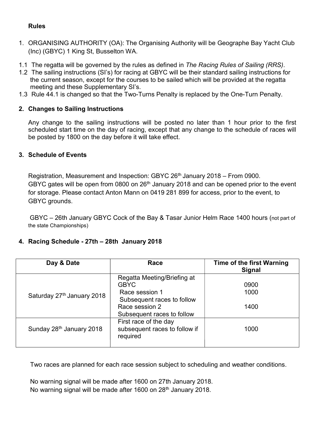#### Rules

- 1. ORGANISING AUTHORITY (OA): The Organising Authority will be Geographe Bay Yacht Club (Inc) (GBYC) 1 King St, Busselton WA.
- 1.1 The regatta will be governed by the rules as defined in The Racing Rules of Sailing (RRS).
- 1.2 The sailing instructions (SI's) for racing at GBYC will be their standard sailing instructions for the current season, except for the courses to be sailed which will be provided at the regatta meeting and these Supplementary SI's.
- 1.3 Rule 44.1 is changed so that the Two-Turns Penalty is replaced by the One-Turn Penalty.

# 2. Changes to Sailing Instructions

Any change to the sailing instructions will be posted no later than 1 hour prior to the first scheduled start time on the day of racing, except that any change to the schedule of races will be posted by 1800 on the day before it will take effect.

#### 3. Schedule of Events

Registration, Measurement and Inspection: GBYC  $26<sup>th</sup>$  January 2018 – From 0900. GBYC gates will be open from 0800 on  $26<sup>th</sup>$  January 2018 and can be opened prior to the event for storage. Please contact Anton Mann on 0419 281 899 for access, prior to the event, to GBYC grounds.

GBYC – 26th January GBYC Cock of the Bay & Tasar Junior Helm Race 1400 hours (not part of the state Championships)

#### 4. Racing Schedule - 27th – 28th January 2018

| Day & Date                           | Race                                                                                       | <b>Time of the first Warning</b><br><b>Signal</b> |
|--------------------------------------|--------------------------------------------------------------------------------------------|---------------------------------------------------|
| Saturday 27th January 2018           | Regatta Meeting/Briefing at<br><b>GBYC</b><br>Race session 1<br>Subsequent races to follow | 0900<br>1000                                      |
|                                      | Race session 2<br>Subsequent races to follow                                               | 1400                                              |
| Sunday 28 <sup>th</sup> January 2018 | First race of the day<br>subsequent races to follow if<br>required                         | 1000                                              |

Two races are planned for each race session subject to scheduling and weather conditions.

No warning signal will be made after 1600 on 27th January 2018. No warning signal will be made after 1600 on 28<sup>th</sup> January 2018.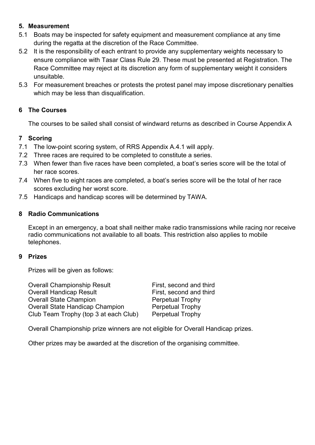### 5. Measurement

- 5.1 Boats may be inspected for safety equipment and measurement compliance at any time during the regatta at the discretion of the Race Committee.
- 5.2 It is the responsibility of each entrant to provide any supplementary weights necessary to ensure compliance with Tasar Class Rule 29. These must be presented at Registration. The Race Committee may reject at its discretion any form of supplementary weight it considers unsuitable.
- 5.3 For measurement breaches or protests the protest panel may impose discretionary penalties which may be less than disqualification.

# 6 The Courses

The courses to be sailed shall consist of windward returns as described in Course Appendix A

# 7 Scoring

- 7.1 The low-point scoring system, of RRS Appendix A.4.1 will apply.
- 7.2 Three races are required to be completed to constitute a series.
- 7.3 When fewer than five races have been completed, a boat's series score will be the total of her race scores.
- 7.4 When five to eight races are completed, a boat's series score will be the total of her race scores excluding her worst score.
- 7.5 Handicaps and handicap scores will be determined by TAWA.

#### 8 Radio Communications

Except in an emergency, a boat shall neither make radio transmissions while racing nor receive radio communications not available to all boats. This restriction also applies to mobile telephones.

#### 9 Prizes

Prizes will be given as follows:

| <b>Overall Championship Result</b>     | First, second and third |
|----------------------------------------|-------------------------|
| <b>Overall Handicap Result</b>         | First, second and third |
| <b>Overall State Champion</b>          | <b>Perpetual Trophy</b> |
| <b>Overall State Handicap Champion</b> | <b>Perpetual Trophy</b> |
| Club Team Trophy (top 3 at each Club)  | <b>Perpetual Trophy</b> |

Overall Championship prize winners are not eligible for Overall Handicap prizes.

Other prizes may be awarded at the discretion of the organising committee.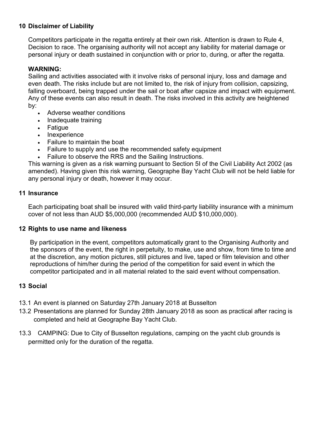# 10 Disclaimer of Liability

Competitors participate in the regatta entirely at their own risk. Attention is drawn to Rule 4, Decision to race. The organising authority will not accept any liability for material damage or personal injury or death sustained in conjunction with or prior to, during, or after the regatta.

#### WARNING:

Sailing and activities associated with it involve risks of personal injury, loss and damage and even death. The risks include but are not limited to, the risk of injury from collision, capsizing, falling overboard, being trapped under the sail or boat after capsize and impact with equipment. Any of these events can also result in death. The risks involved in this activity are heightened by:

- Adverse weather conditions
- Inadequate training
- Fatique
- Inexperience
- Failure to maintain the boat
- Failure to supply and use the recommended safety equipment
- Failure to observe the RRS and the Sailing Instructions.

This warning is given as a risk warning pursuant to Section 5I of the Civil Liability Act 2002 (as amended). Having given this risk warning, Geographe Bay Yacht Club will not be held liable for any personal injury or death, however it may occur.

#### 11 Insurance

Each participating boat shall be insured with valid third-party liability insurance with a minimum cover of not less than AUD \$5,000,000 (recommended AUD \$10,000,000).

#### 12 Rights to use name and likeness

By participation in the event, competitors automatically grant to the Organising Authority and the sponsors of the event, the right in perpetuity, to make, use and show, from time to time and at the discretion, any motion pictures, still pictures and live, taped or film television and other reproductions of him/her during the period of the competition for said event in which the competitor participated and in all material related to the said event without compensation.

#### 13 Social

- 13.1 An event is planned on Saturday 27th January 2018 at Busselton
- 13.2 Presentations are planned for Sunday 28th January 2018 as soon as practical after racing is completed and held at Geographe Bay Yacht Club.
- 13.3 CAMPING: Due to City of Busselton regulations, camping on the yacht club grounds is permitted only for the duration of the regatta.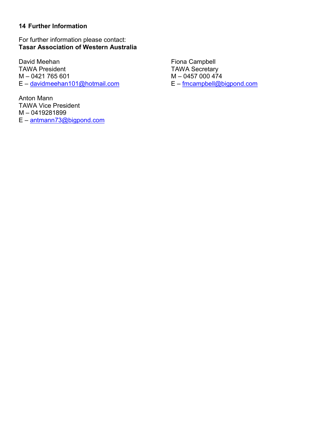#### 14 Further Information

For further information please contact: Tasar Association of Western Australia

David Meehan Fiona Campbell TAWA President TAWA Secretary M – 0421 765 601 M – 0457 000 474  $E -$  davidmeehan101@hotmail.com

Anton Mann TAWA Vice President M – 0419281899 E – antmann73@bigpond.com